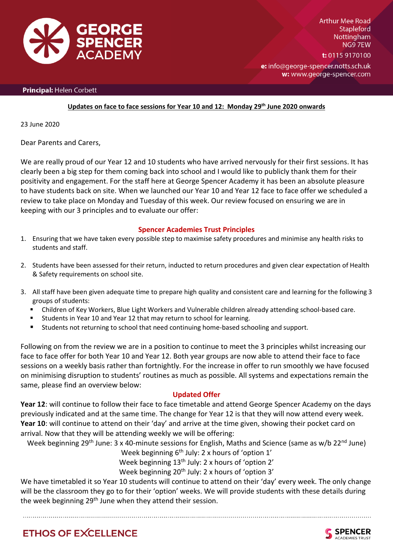

**Arthur Mee Road Stapleford Nottingham** NG97EW t: 0115 9170100

e: info@george-spencer.notts.sch.uk w: www.george-spencer.com

#### Principal: Helen Corbett

#### **Updates on face to face sessions for Year 10 and 12: Monday 29th June 2020 onwards**

23 June 2020

Dear Parents and Carers,

We are really proud of our Year 12 and 10 students who have arrived nervously for their first sessions. It has clearly been a big step for them coming back into school and I would like to publicly thank them for their positivity and engagement. For the staff here at George Spencer Academy it has been an absolute pleasure to have students back on site. When we launched our Year 10 and Year 12 face to face offer we scheduled a review to take place on Monday and Tuesday of this week. Our review focused on ensuring we are in keeping with our 3 principles and to evaluate our offer:

### **Spencer Academies Trust Principles**

- 1. Ensuring that we have taken every possible step to maximise safety procedures and minimise any health risks to students and staff.
- 2. Students have been assessed for their return, inducted to return procedures and given clear expectation of Health & Safety requirements on school site.
- 3. All staff have been given adequate time to prepare high quality and consistent care and learning for the following 3 groups of students:
	- Children of Key Workers, Blue Light Workers and Vulnerable children already attending school-based care.
	- Students in Year 10 and Year 12 that may return to school for learning.
	- Students not returning to school that need continuing home-based schooling and support.

Following on from the review we are in a position to continue to meet the 3 principles whilst increasing our face to face offer for both Year 10 and Year 12. Both year groups are now able to attend their face to face sessions on a weekly basis rather than fortnightly. For the increase in offer to run smoothly we have focused on minimising disruption to students' routines as much as possible. All systems and expectations remain the same, please find an overview below:

## **Updated Offer**

**Year 12**: will continue to follow their face to face timetable and attend George Spencer Academy on the days previously indicated and at the same time. The change for Year 12 is that they will now attend every week. **Year 10**: will continue to attend on their 'day' and arrive at the time given, showing their pocket card on arrival. Now that they will be attending weekly we will be offering:

Week beginning 29<sup>th</sup> June: 3 x 40-minute sessions for English, Maths and Science (same as w/b 22<sup>nd</sup> June)

Week beginning  $6<sup>th</sup>$  July: 2 x hours of 'option 1' Week beginning 13<sup>th</sup> July: 2 x hours of 'option 2'

Week beginning 20<sup>th</sup> July: 2 x hours of 'option 3'

We have timetabled it so Year 10 students will continue to attend on their 'day' every week. The only change will be the classroom they go to for their 'option' weeks. We will provide students with these details during the week beginning 29<sup>th</sup> June when they attend their session.

# **ETHOS OF EXCELLENCE**